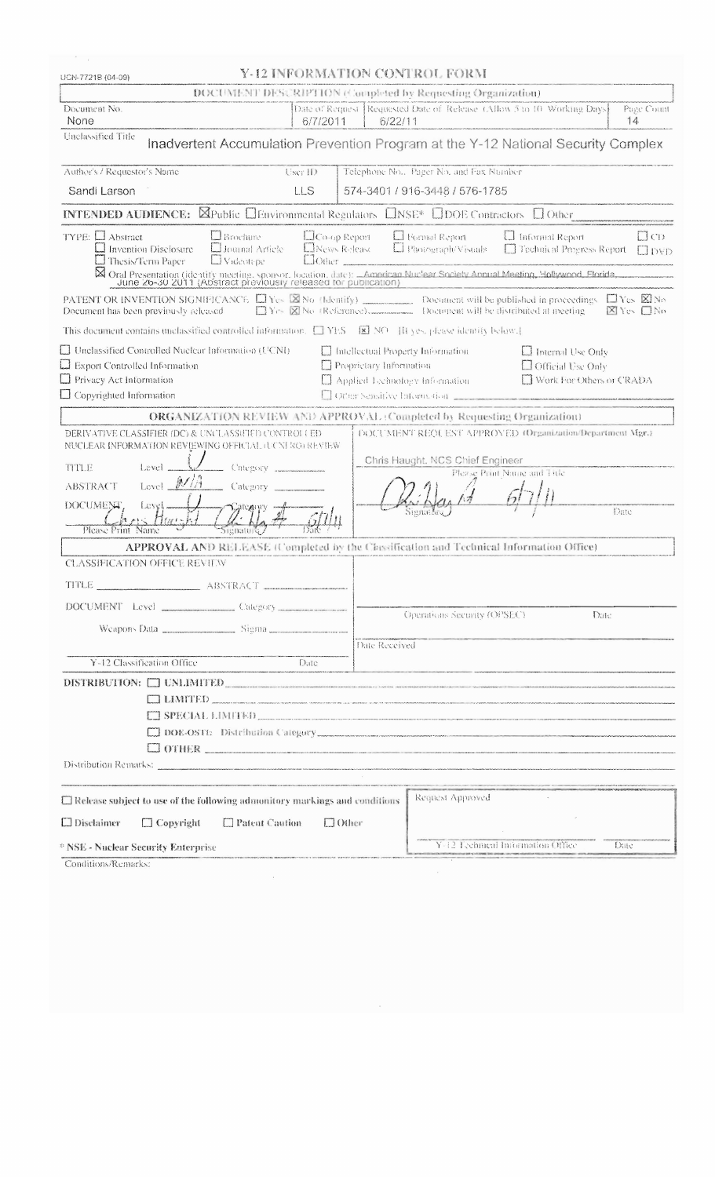| Conditions/Remarks:                                                                                                                                                                                                                                                                                                                                                                                                                                                                                                                                                                                                               |                                                                                                                         |  |
|-----------------------------------------------------------------------------------------------------------------------------------------------------------------------------------------------------------------------------------------------------------------------------------------------------------------------------------------------------------------------------------------------------------------------------------------------------------------------------------------------------------------------------------------------------------------------------------------------------------------------------------|-------------------------------------------------------------------------------------------------------------------------|--|
| * NSE - Nuclear Security Enterprise                                                                                                                                                                                                                                                                                                                                                                                                                                                                                                                                                                                               | Y-12 Ecchnical Information Office<br>Date                                                                               |  |
| $\Box$ Patent Caution<br>$\Box$ Disclaimer<br>$\Box$ Copyright<br>$\Box$ Other                                                                                                                                                                                                                                                                                                                                                                                                                                                                                                                                                    |                                                                                                                         |  |
| Request Approved<br>$\Box$ Release subject to use of the following admonitory markings and conditions                                                                                                                                                                                                                                                                                                                                                                                                                                                                                                                             |                                                                                                                         |  |
| Distribution Remarks: 2000 Company and the company of the company of the company of the company of the company of the company of the company of the company of the company of the company of the company of the company of the                                                                                                                                                                                                                                                                                                                                                                                                    |                                                                                                                         |  |
| OTHER <b>CONTRACT CONTRACT CONTRACT CONTRACT CONTRACT CONTRACT CONTRACT CONTRACT CONTRACT CONTRACT CONTRACT CONTRACT CONTRACT CONTRACT CONTRACT CONTRACT CONTRACT CONTRACT CONTRACT CONTRACT CONTRACT CONTRACT CONTRACT CONTRACT</b>                                                                                                                                                                                                                                                                                                                                                                                              |                                                                                                                         |  |
|                                                                                                                                                                                                                                                                                                                                                                                                                                                                                                                                                                                                                                   |                                                                                                                         |  |
| $\Box$ LIMITED<br>$\begin{tabular}{ c c c c c } \hline \quad \quad & \quad \quad & \quad \quad & \quad \quad & \quad \quad \\ \hline \quad \quad & \quad \quad & \quad \quad & \quad \quad & \quad \quad \\ \hline \quad \quad & \quad \quad & \quad \quad & \quad \quad \\ \hline \quad \quad & \quad \quad & \quad \quad & \quad \quad \\ \hline \quad \quad & \quad \quad & \quad \quad & \quad \quad \\ \hline \quad \quad & \quad \quad & \quad \quad & \quad \quad \\ \hline \quad \quad & \quad \quad & \quad \quad & \quad \quad \\ \hline \quad \quad & \quad \quad & \quad \quad & \quad \quad \\ \hline \quad \quad &$ |                                                                                                                         |  |
|                                                                                                                                                                                                                                                                                                                                                                                                                                                                                                                                                                                                                                   | DISTRIBUTION: O UNLIMITED                                                                                               |  |
| Y-12 Classification Office<br>Date                                                                                                                                                                                                                                                                                                                                                                                                                                                                                                                                                                                                | <u> 1980 - Paris Andrea Barrison, managemental eta espainiar eta espainiar eta espainiar eta espainiar eta espainia</u> |  |
|                                                                                                                                                                                                                                                                                                                                                                                                                                                                                                                                                                                                                                   | Date Received                                                                                                           |  |
|                                                                                                                                                                                                                                                                                                                                                                                                                                                                                                                                                                                                                                   |                                                                                                                         |  |
|                                                                                                                                                                                                                                                                                                                                                                                                                                                                                                                                                                                                                                   | Operations Security (OPSEC).<br>Date                                                                                    |  |
| TITLE<br>ABSTRACT                                                                                                                                                                                                                                                                                                                                                                                                                                                                                                                                                                                                                 |                                                                                                                         |  |
| <b>CLASSIFICATION OFFICE REVIEW</b>                                                                                                                                                                                                                                                                                                                                                                                                                                                                                                                                                                                               |                                                                                                                         |  |
| APPROVAL AND RELEASE (Completed by the Classification and Technical Information Office)                                                                                                                                                                                                                                                                                                                                                                                                                                                                                                                                           |                                                                                                                         |  |
| Please Print<br>Name                                                                                                                                                                                                                                                                                                                                                                                                                                                                                                                                                                                                              |                                                                                                                         |  |
| DOCUMENT.<br>Level                                                                                                                                                                                                                                                                                                                                                                                                                                                                                                                                                                                                                | Date                                                                                                                    |  |
| Level $M/\sqrt{A}$<br>Category<br><b>ABSTRACT</b>                                                                                                                                                                                                                                                                                                                                                                                                                                                                                                                                                                                 |                                                                                                                         |  |
| Level _<br><b>TITLE</b><br>Category                                                                                                                                                                                                                                                                                                                                                                                                                                                                                                                                                                                               | Please Print Name and Tale                                                                                              |  |
|                                                                                                                                                                                                                                                                                                                                                                                                                                                                                                                                                                                                                                   | Chris Haught, NCS Chief Engineer                                                                                        |  |
| DERIVATIVE CLASSIFIER (DC) & UNCLASSIFIED CONTROLLED<br>NUCLEAR INFORMATION REVIEWING OFFICIAL (UCNI RO) REVIEW                                                                                                                                                                                                                                                                                                                                                                                                                                                                                                                   | DOCUMENT REQUEST APPROVED (Organization/Department Mgr.)                                                                |  |
| <b>ORGANIZATION REVIEW AND APPROVAL: Completed by Requesting Organization)</b>                                                                                                                                                                                                                                                                                                                                                                                                                                                                                                                                                    |                                                                                                                         |  |
| $\Box$ Copyrighted Information                                                                                                                                                                                                                                                                                                                                                                                                                                                                                                                                                                                                    | [2] Other Sensitive Information 221222222222                                                                            |  |
| $\Box$ Privacy Act Information                                                                                                                                                                                                                                                                                                                                                                                                                                                                                                                                                                                                    | □ Work For Others or CRADA<br>$\square$ Applied Lychnology Information                                                  |  |
| $\Box$ Unclassified Controlled Nuclear Information (UCNI)<br>$\Box$ Intellectual Property Information<br>$\Box$ Internal Use Only<br>Proprietary Information<br>$\Box$ Export Controlled Information<br>$\Box$ Official Use Only                                                                                                                                                                                                                                                                                                                                                                                                  |                                                                                                                         |  |
| This document contains unclassified controlled information. $\Box$ YES $\Box$ NO [Reset please identity below.]                                                                                                                                                                                                                                                                                                                                                                                                                                                                                                                   |                                                                                                                         |  |
| Document has been previously released<br>⊠Yes □No                                                                                                                                                                                                                                                                                                                                                                                                                                                                                                                                                                                 |                                                                                                                         |  |
| <b>PATENT OR INVENTION SIGNIFICANCE</b> $\Box$ Yes $\boxtimes$ No (Identify) ___________ Document will be published in proceedings. $\Box$ Yes $\boxtimes$ No                                                                                                                                                                                                                                                                                                                                                                                                                                                                     |                                                                                                                         |  |
| X Oral Presentation (identity meeting, sponsor, location, durc): American Nuclear Society Annual Meeting, Hollywood, Florida, etc. 1999. June 26-30 2011 (Abstract previously released for publication)                                                                                                                                                                                                                                                                                                                                                                                                                           |                                                                                                                         |  |
| <b>El Videotepe</b><br>$\Box$ Thesis/Term Paper<br><b>Clother</b>                                                                                                                                                                                                                                                                                                                                                                                                                                                                                                                                                                 | <b>El pyp</b>                                                                                                           |  |
| TYPE: $\Box$ Abstract<br>$\Box$ Brochure<br>$\Box$ Co-op Report<br><b>El Journal Article</b><br>E News Release<br>$\Box$ Invention Disclosure                                                                                                                                                                                                                                                                                                                                                                                                                                                                                     | El Formal Report<br><b>I</b> Informal Report<br>$\Box$ CD<br>$\Box$ Photograph/Visuals<br>Technical Progress Report     |  |
| <b>INTENDED AUDIENCE:</b> $\boxtimes$ Public $\Box$ Environmental Regulators $\Box$ NSE* $\Box$ DOE Contractors $\Box$ Other                                                                                                                                                                                                                                                                                                                                                                                                                                                                                                      |                                                                                                                         |  |
| Sandi Larson<br><b>LLS</b>                                                                                                                                                                                                                                                                                                                                                                                                                                                                                                                                                                                                        | 574-3401 / 916-3448 / 576-1785                                                                                          |  |
| Author's / Requestor's Name<br>User ID                                                                                                                                                                                                                                                                                                                                                                                                                                                                                                                                                                                            | Telephone No., Pager No. and Fax Number                                                                                 |  |
|                                                                                                                                                                                                                                                                                                                                                                                                                                                                                                                                                                                                                                   |                                                                                                                         |  |
| Unclassified Title<br>Inadvertent Accumulation Prevention Program at the Y-12 National Security Complex                                                                                                                                                                                                                                                                                                                                                                                                                                                                                                                           |                                                                                                                         |  |
| Document No.<br>None<br>6/7/2011                                                                                                                                                                                                                                                                                                                                                                                                                                                                                                                                                                                                  | Date of Request Requested Date of Release (Allow 5 to 10 Working Days<br>Page Count<br>14<br>6/22/11                    |  |
| DOCUMENT DESCRIPTION (Completed by Requesting Organization)                                                                                                                                                                                                                                                                                                                                                                                                                                                                                                                                                                       |                                                                                                                         |  |
| Y-12 INFORMATION CONTROL FORM<br>UCN-7721B (04-09)                                                                                                                                                                                                                                                                                                                                                                                                                                                                                                                                                                                |                                                                                                                         |  |
|                                                                                                                                                                                                                                                                                                                                                                                                                                                                                                                                                                                                                                   |                                                                                                                         |  |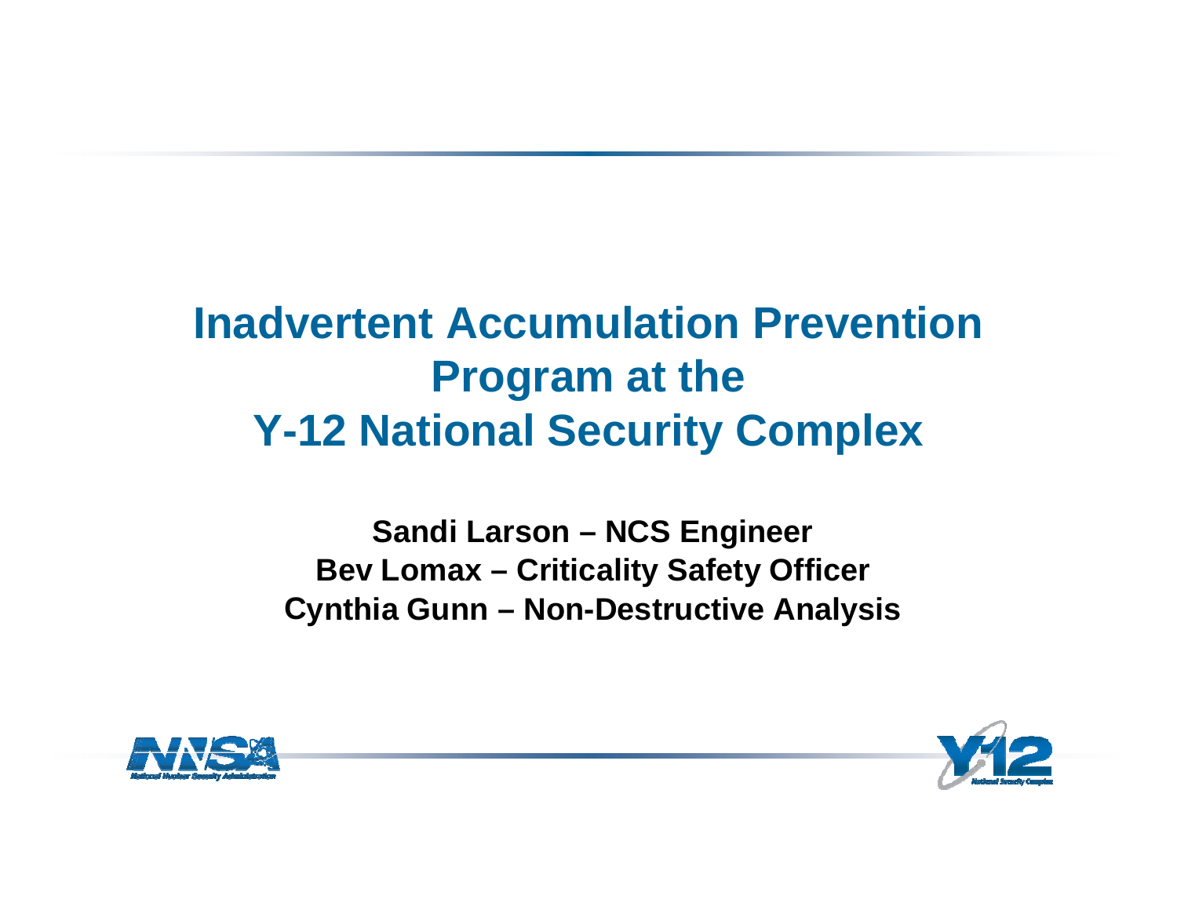# **Inadvertent Accumulation Prevention Pro gram at the Y-12 National Security Complex**

**Sandi Larson – NCS Engineer Bev Lomax – Criticality Safety Officer C ynthia Gunn – Non-Destructive Anal ysis**



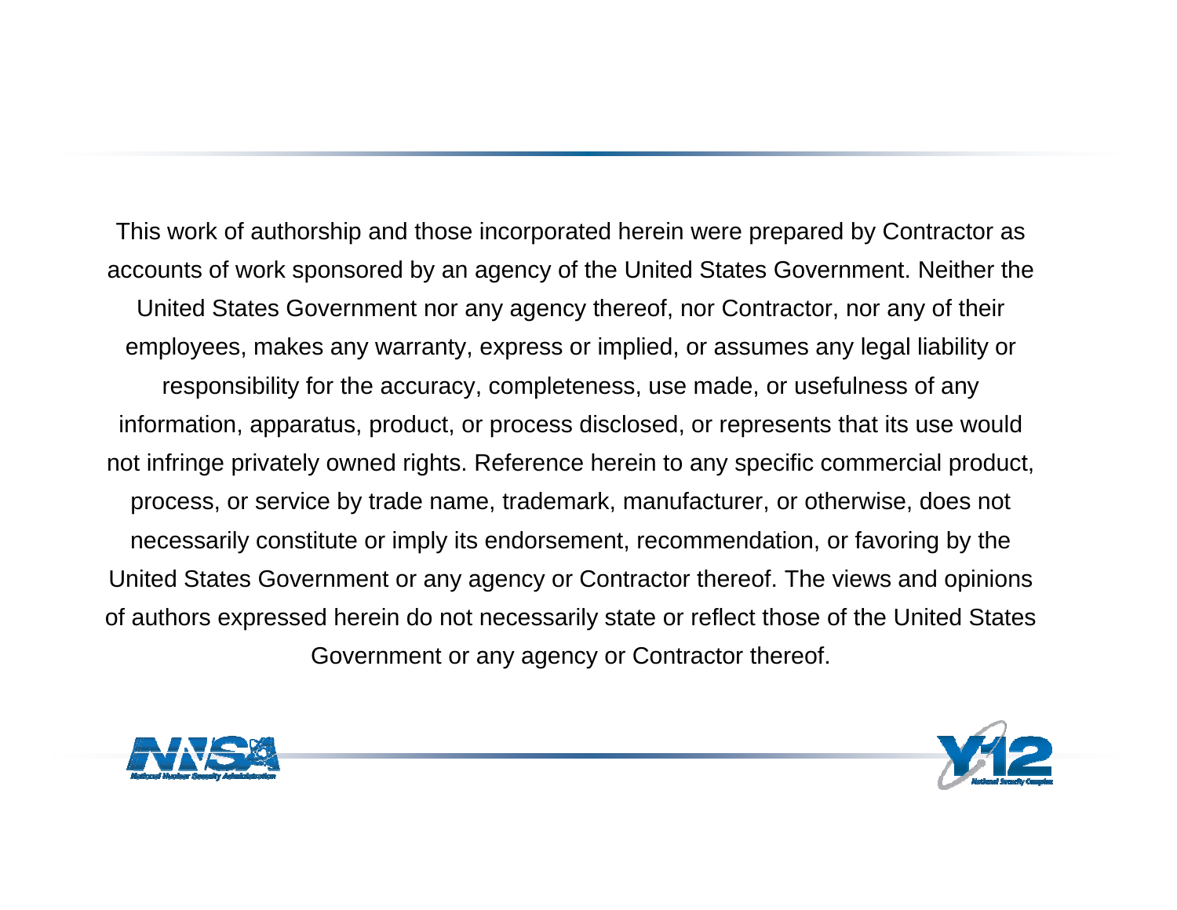This work of authorship and those incorporated herein were prepared by Contractor as accounts of work sponsored by an agency of the United States Government. Neither the United States Government nor any agency thereof, nor Contractor, nor any of their employees, makes any warranty, express or implied, or assumes any legal liability or responsibility for the accuracy, completeness, use made, or usefulness of any information, apparatus, product, or process disclosed, or represents that its use would not infringe privately owned rights. Reference herein to any specific commercial product, process, or service by trade name, trademark, manufacturer, or otherwise, does not necessarily constitute or imply its endorsement, recommendation, or favoring by the United States Government or any agency or Contractor thereof. The views and opinions of authors expressed herein do not necessarily state or reflect those of the United States Government or any agency or Contractor thereof.



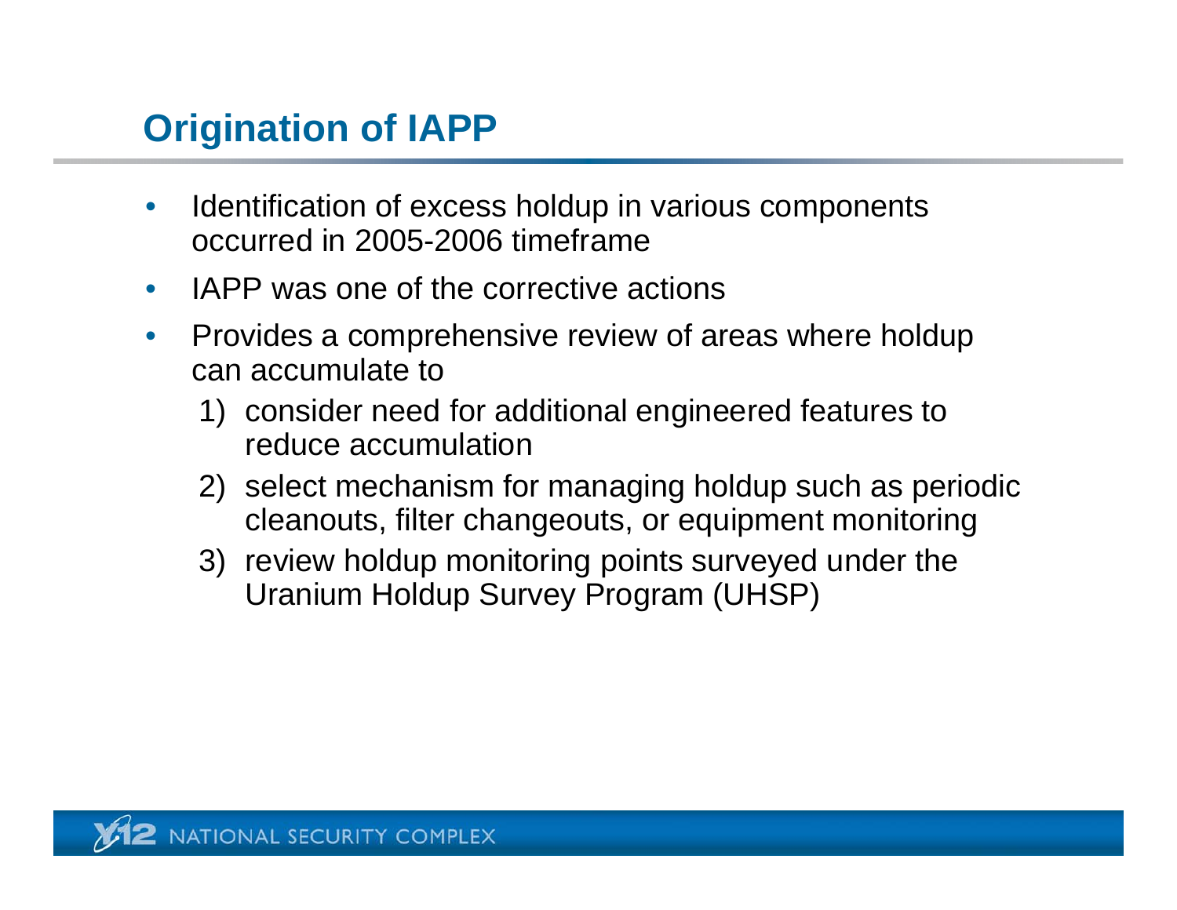# **Origination of IAPP**

- $\bullet$  Identification of excess holdup in various components occurred in 2005-2006 timeframe
- $\bullet$ • IAPP was one of the corrective actions
- $\bullet$  Provides a comprehensive review of areas where holdup can accumulate to
	- 1) consider need for additional engineered features to reduce accumulation
	- 2) select mechanism for managing holdup such as periodic cleanouts, filter changeouts, or equipment monitoring
	- 3) review holdup monitoring points surveyed under the Uranium Holdup Survey Program (UHSP)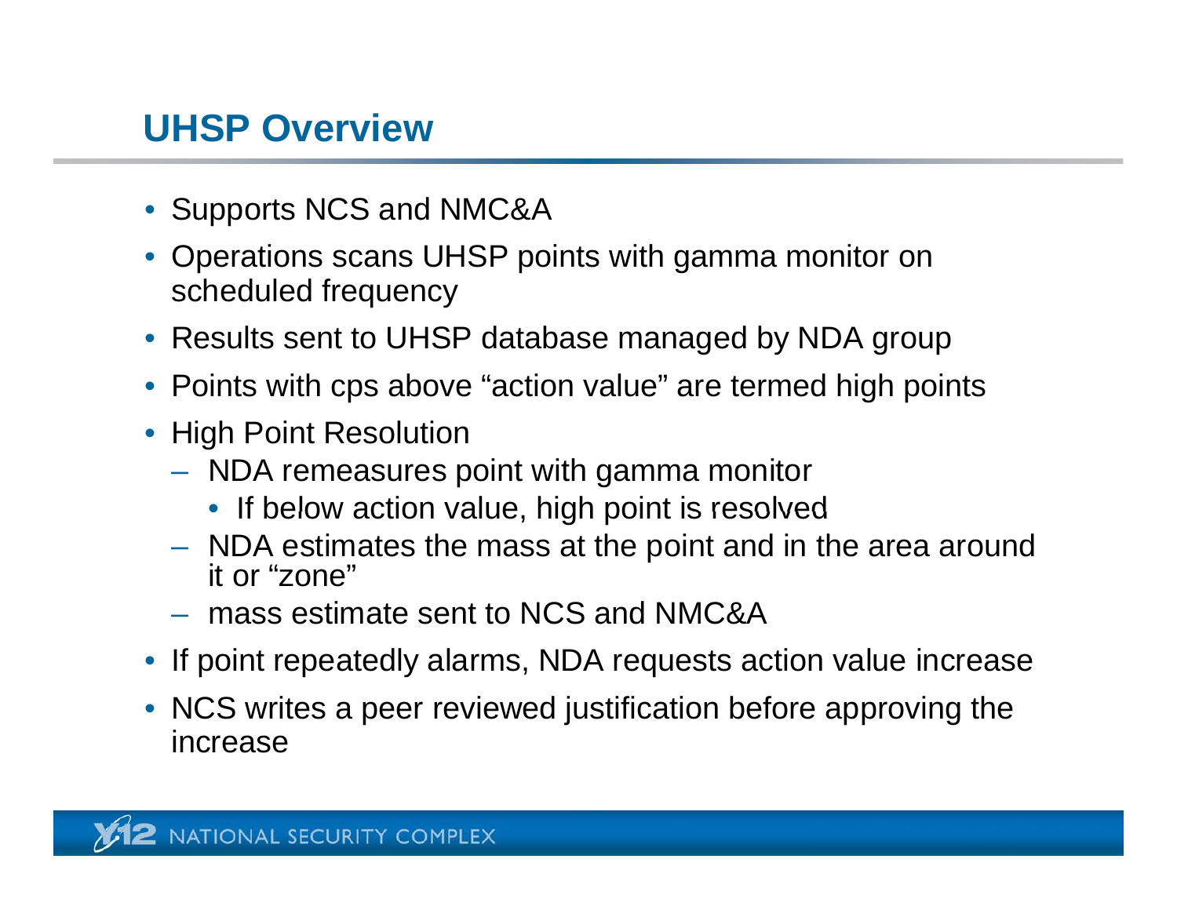# **UHSP Overview**

- Supports NCS and NMC&A
- Operations scans UHSP points with gamma monitor on scheduled frequency
- Results sent to UHSP database managed by NDA group
- Points with cps above "action value" are termed high points
- High Point Resolution
	- NDA remeasures point with gamma monitor
		- $\bullet\,$  If below action value, high point is resolved
	- NDA estimates the mass at the point and in the area around it or "zone"
	- mass estimate sent to NCS and NMC&A
- If point repeatedly alarms, NDA requests action value increase
- NCS writes a peer reviewed justification before approving the increase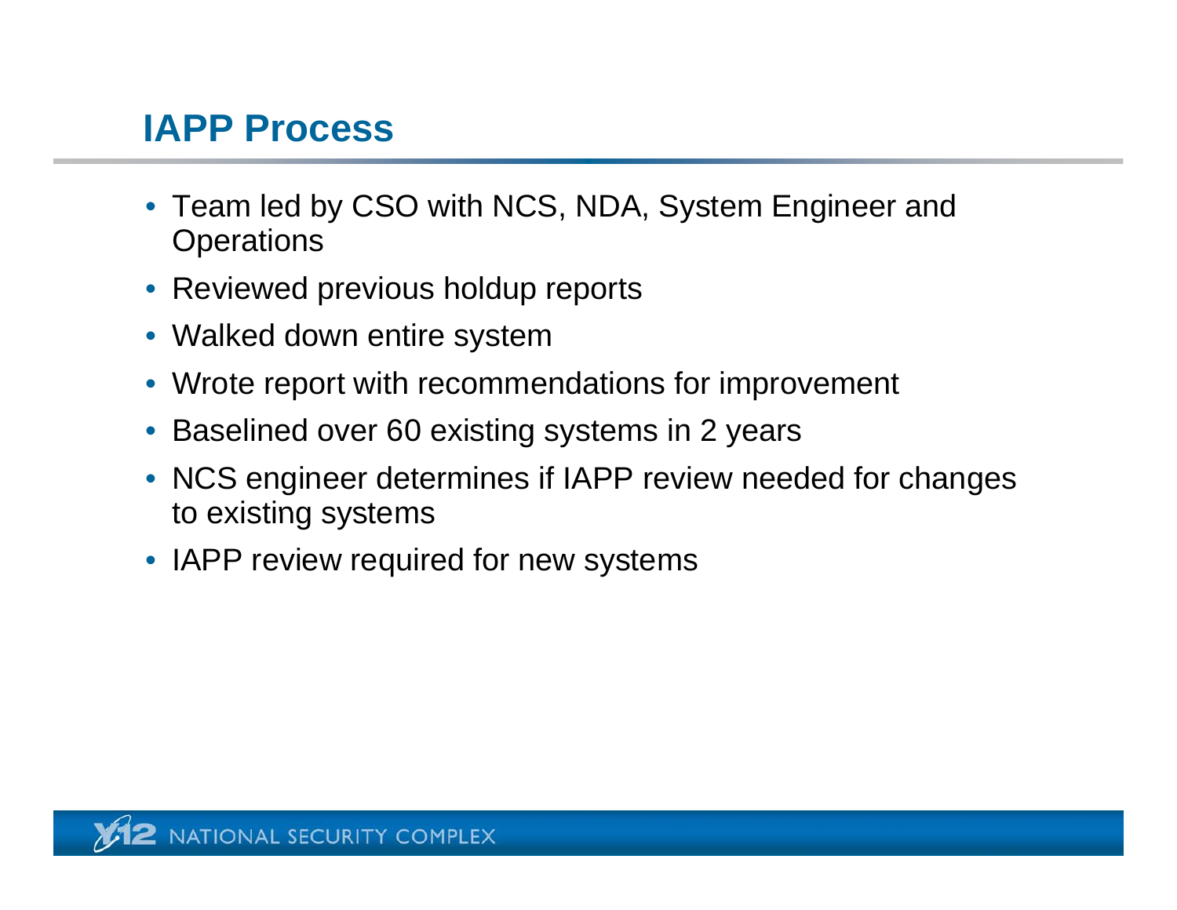#### **IAPP Process**

- Team led by CSO with NCS, NDA, System Engineer and **Operations**
- $\bullet\,$  Reviewed previous holdup reports
- Walked down entire system
- Wrote report with recommendations for improvement
- Baselined over 60 existing systems in 2 years
- NCS engineer determines if IAPP review needed for changes to existing systems
- IAPP review required for new systems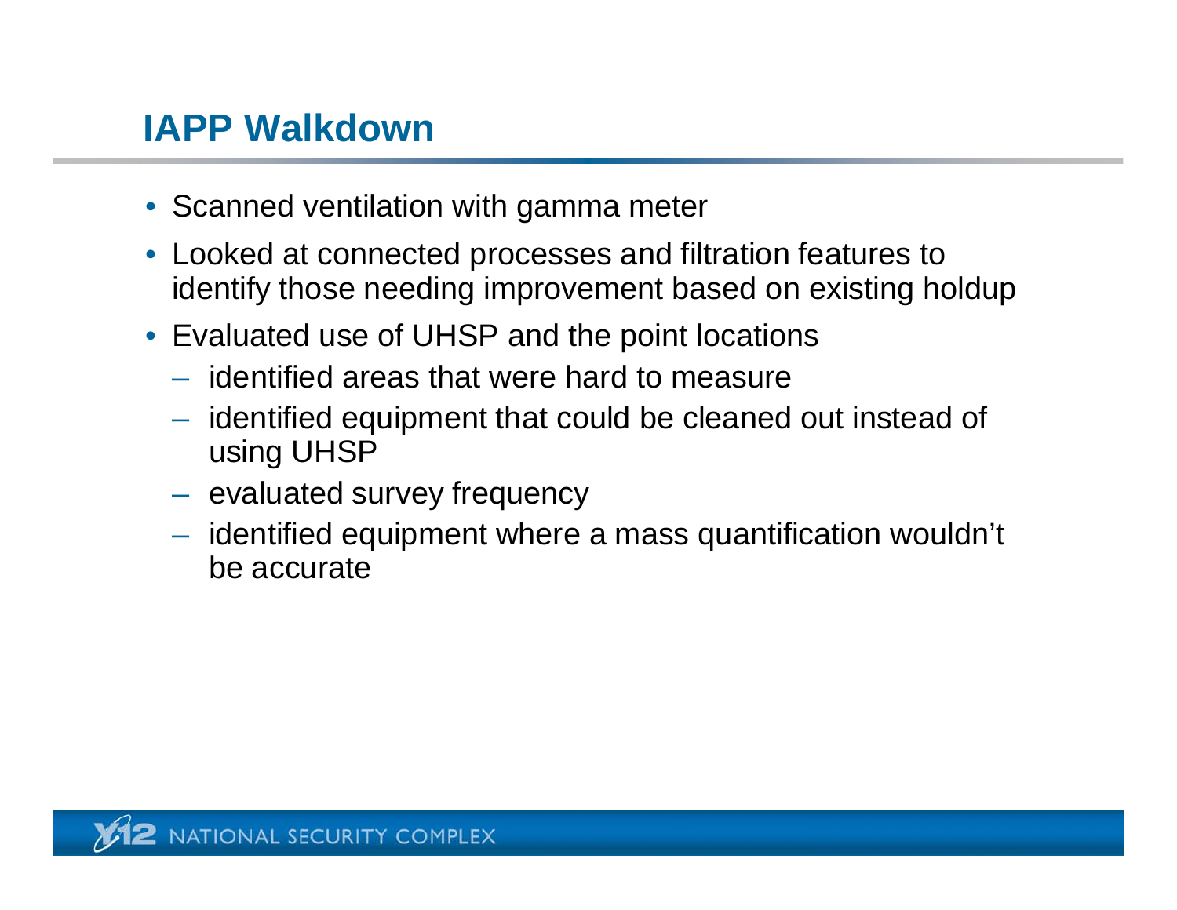#### **IAPP Walkdown**

- Scanned ventilation with gamma meter
- Looked at connected processes and filtration features to identify those needing improvement based on existing holdup
- Evaluated use of UHSP and the point locations
	- identified areas that were hard to measure
	- identified equipment that could be cleaned out instead of using UHSP
	- $-$  evaluated survey frequency
	- identified equipment where a mass quantification wouldn't be accurate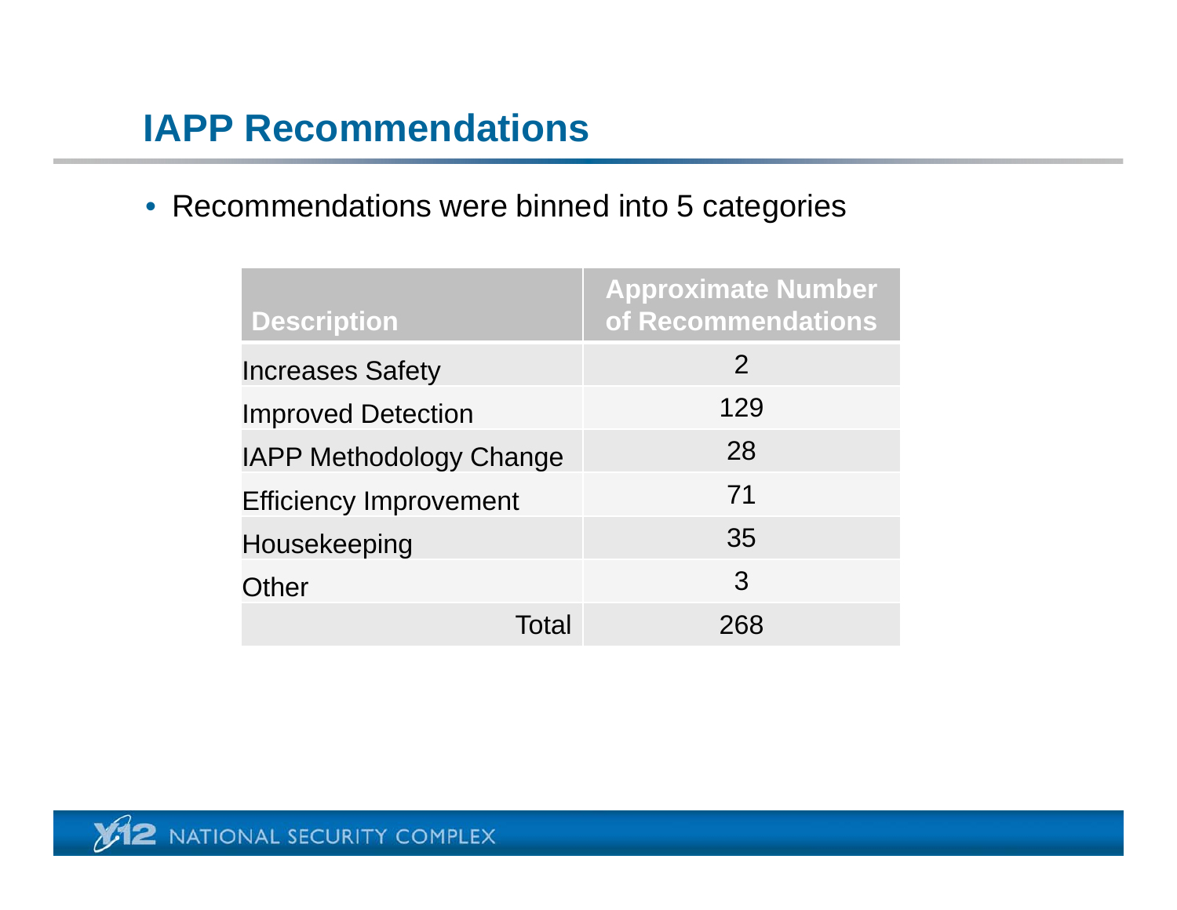# **IAPP Recommendations**

• Recommendations were binned into 5 categories

| <b>Description</b>             | <b>Approximate Number</b><br>of Recommendations |
|--------------------------------|-------------------------------------------------|
| <b>Increases Safety</b>        | $\overline{2}$                                  |
| <b>Improved Detection</b>      | 129                                             |
| <b>IAPP Methodology Change</b> | 28                                              |
| <b>Efficiency Improvement</b>  | 71                                              |
| Housekeeping                   | 35                                              |
| Other                          | 3                                               |
| Total                          | 268                                             |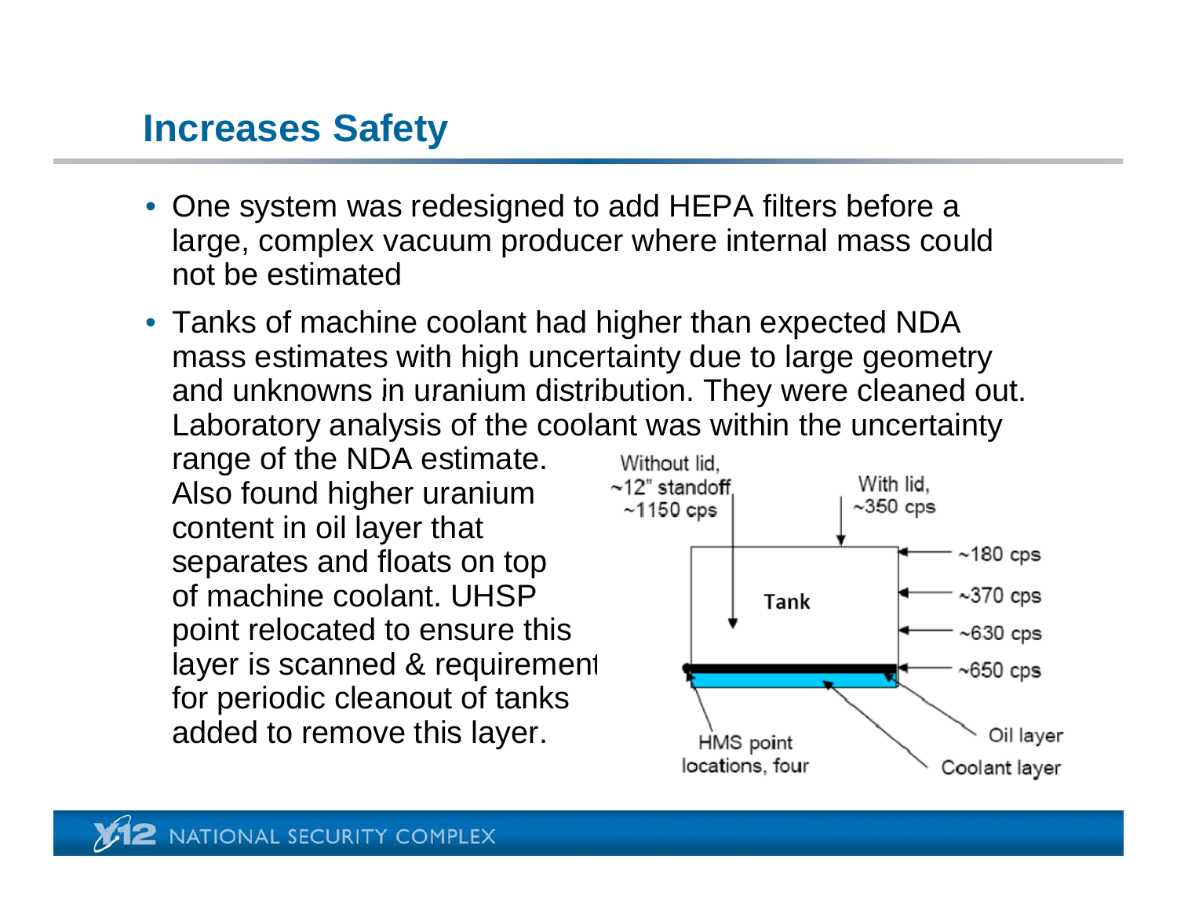#### **Increases Safety**

- One system was redesigned to add HEPA filters before a large, complex vacuum producer where internal mass could not be estimated
- Tanks of machine coolant had higher than expected NDA mass estimates with high uncertainty due to large geometry and unknowns in uranium distribution. They were cleaned out. Laboratory analysis of the coolant was within the uncertainty

range of the NDA estimate. Also found higher uranium content in oil layer that separates and floats on top of machine coolant. UHSP point relocated to ensure this layer is scanned & requirement for periodic cleanout of tanks added to remove this layer.

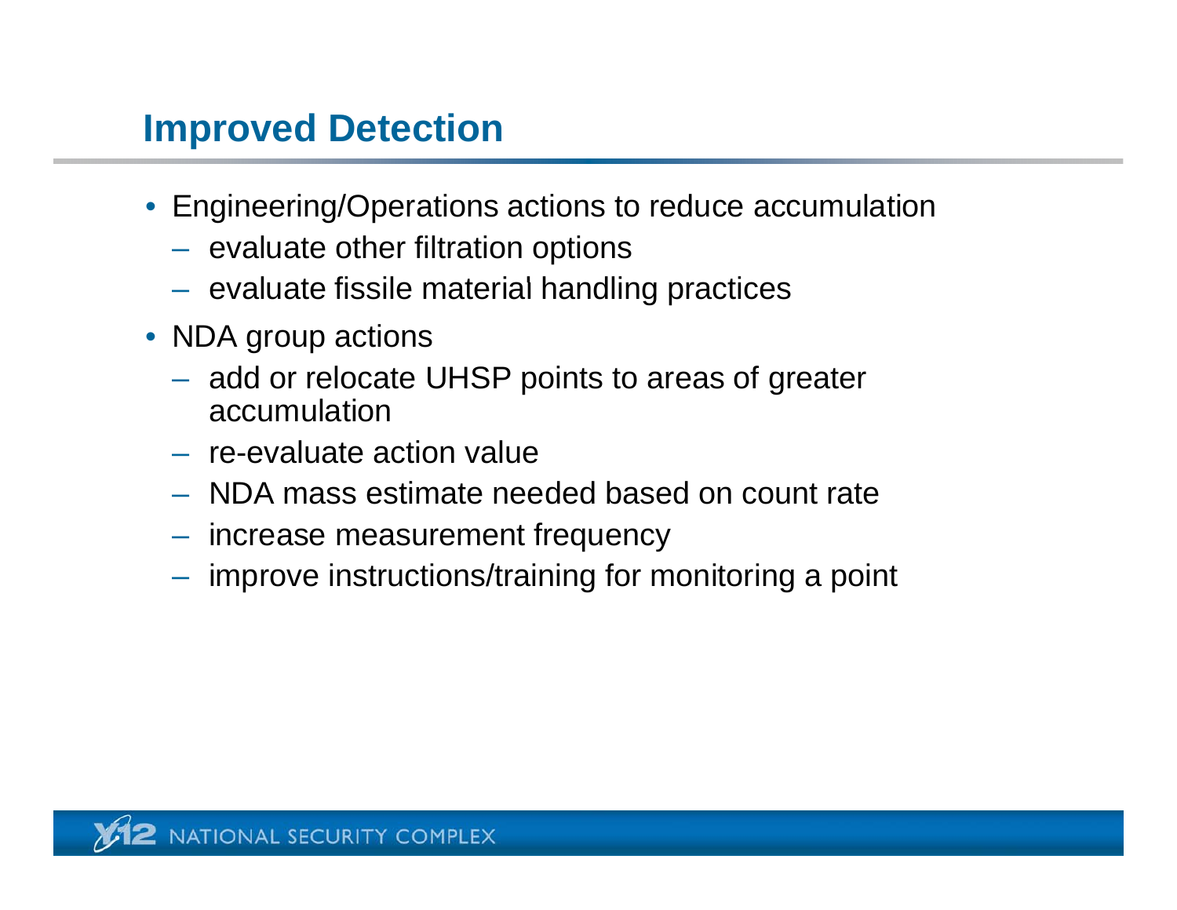#### **Improved Detection**

- Engineering/Operations actions to reduce accumulation
	- $-$  evaluate other filtration options
	- $-$  evaluate fissile material handling practices
- NDA group actions
	- add or relocate UHSP points to areas of greater accumulation
	- re-evaluate action value
	- NDA mass estimate needed based on count rate
	- increase measurement frequency
	- $-$  improve instructions/training for monitoring a point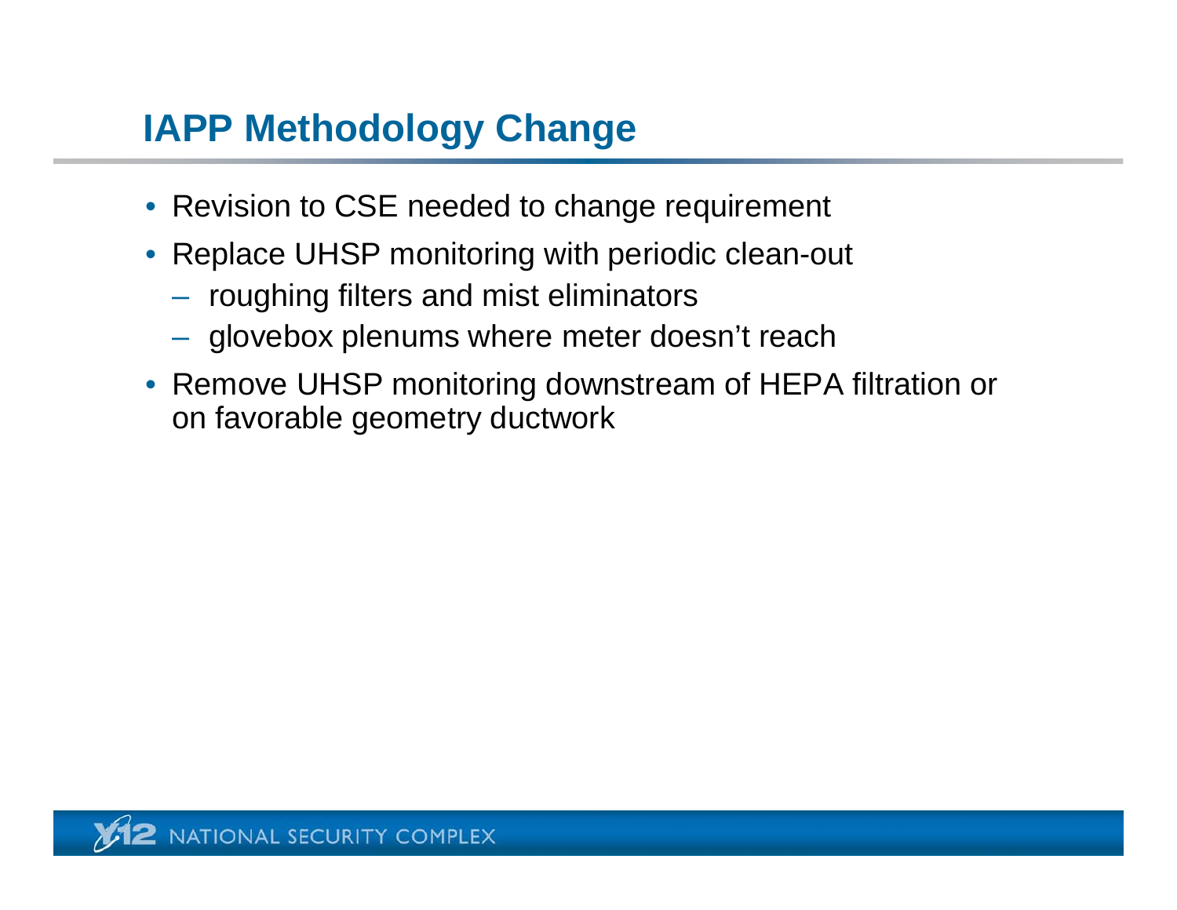# **IAPP Methodology Change**

- Revision to CSE needed to change requirement
- Replace UHSP monitoring with periodic clean-out
	- $-$  roughing filters and mist eliminators
	- glovebox plenums where meter doesn't reach
- Remove UHSP monitorin g downstream of HEPA filtration or on favorable geometry ductwork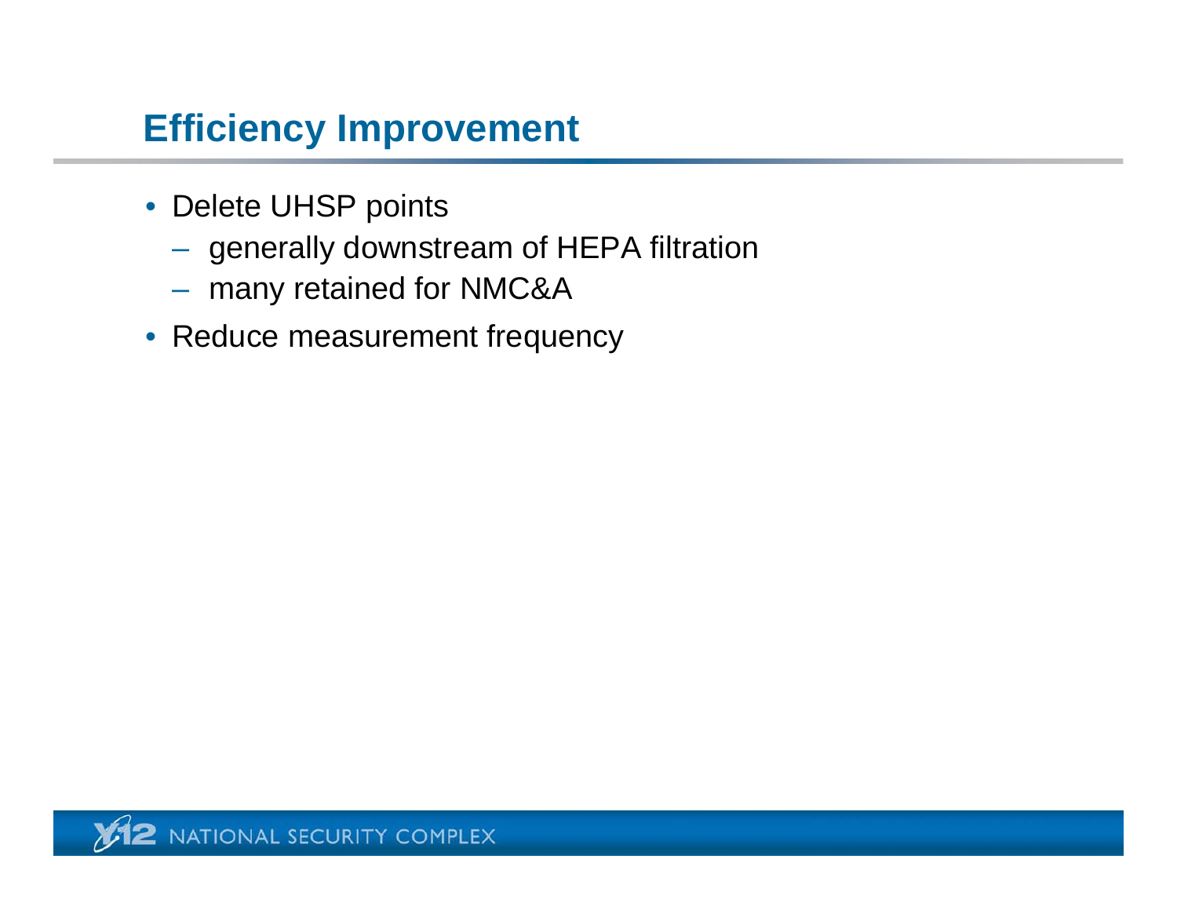# **Efficiency Improvement**

- Delete UHSP points
	- $-$  generally downstream of HEPA filtration
	- many retained for NMC&A
- Reduce measurement frequency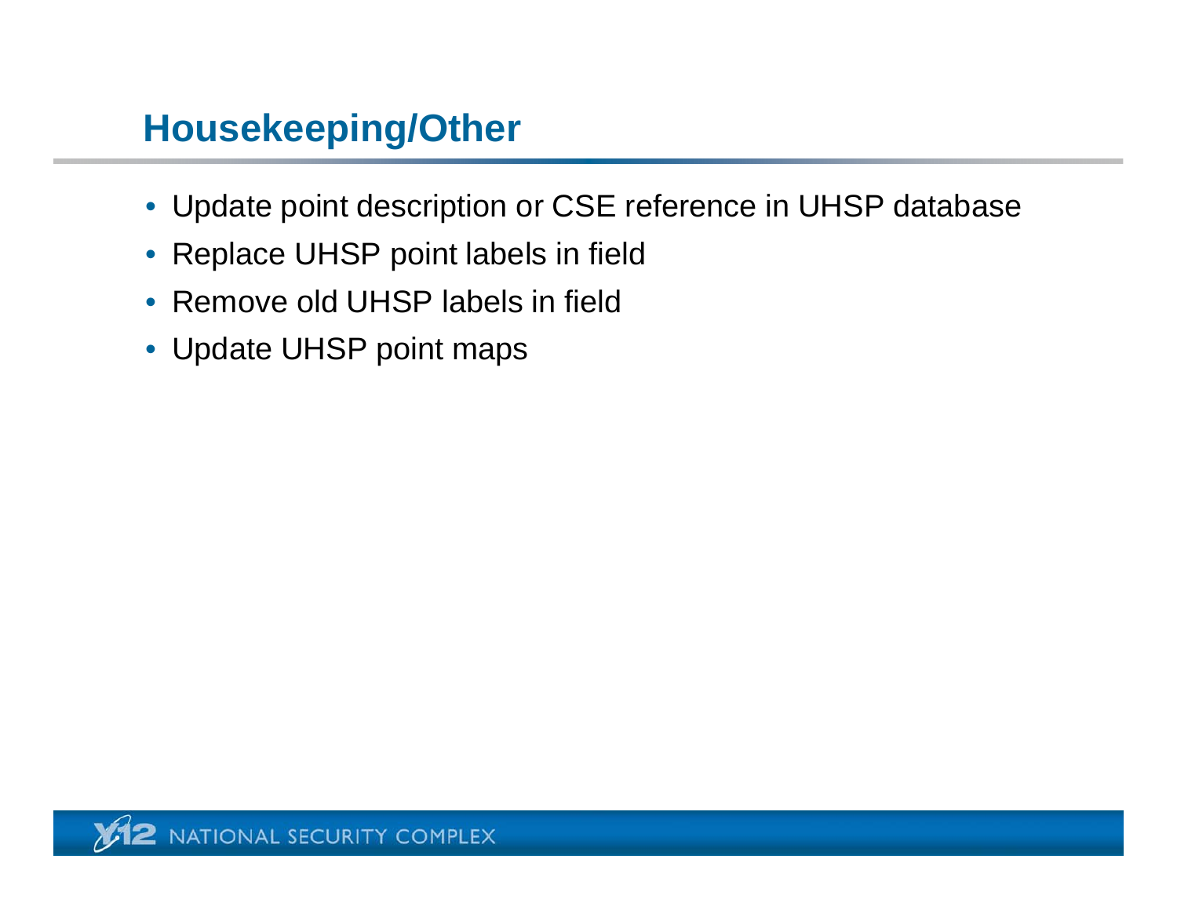# **Housekeeping/Other**

- Update point description or CSE reference in UHSP database
- Replace UHSP point labels in field
- Remove old UHSP labels in field
- Update UHSP point maps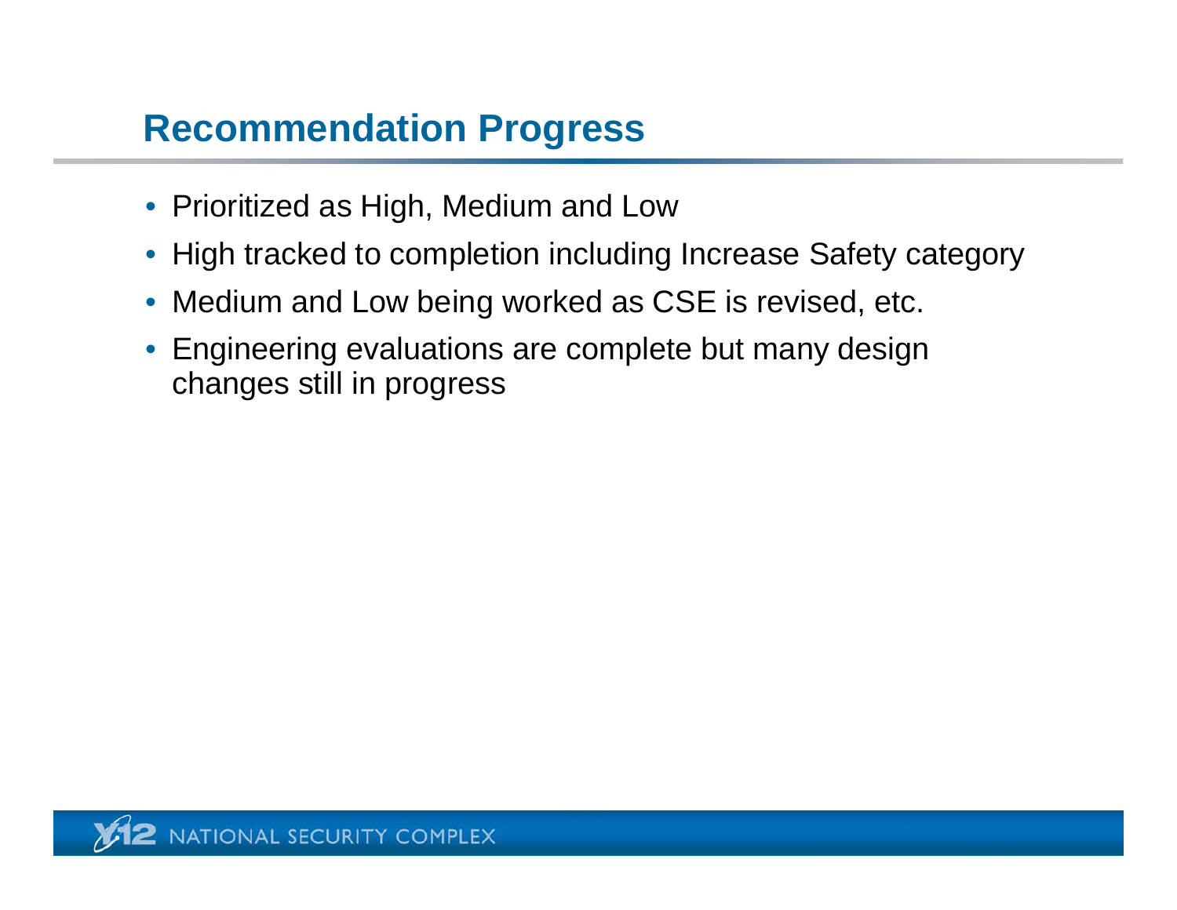### **Recommendation Progress**

- Prioritized as High, Medium and Low
- High tracked to completion including Increase Safety category
- Medium and Low being worked as CSE is revised, etc.
- Engineering evaluations are complete but many design changes still in progress